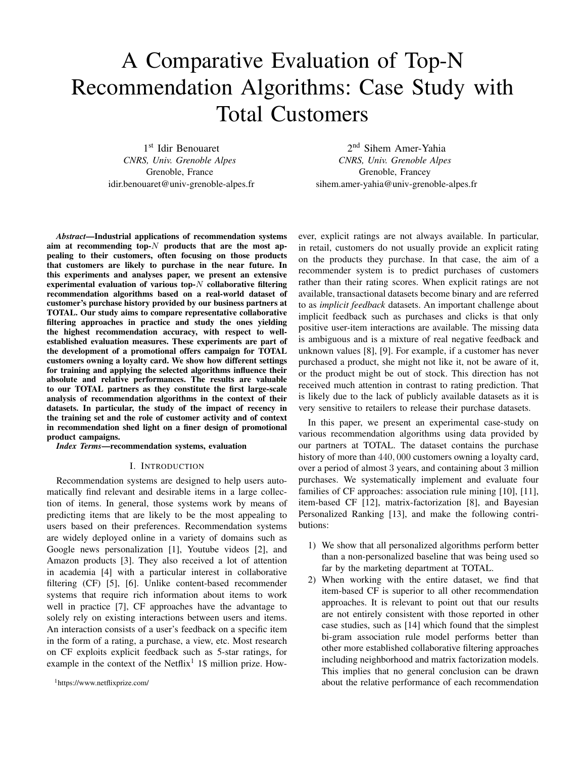# A Comparative Evaluation of Top-N Recommendation Algorithms: Case Study with Total Customers

1 st Idir Benouaret *CNRS, Univ. Grenoble Alpes* Grenoble, France idir.benouaret@univ-grenoble-alpes.fr

2 nd Sihem Amer-Yahia *CNRS, Univ. Grenoble Alpes* Grenoble, Francey sihem.amer-yahia@univ-grenoble-alpes.fr

*Abstract*—Industrial applications of recommendation systems aim at recommending top- $N$  products that are the most appealing to their customers, often focusing on those products that customers are likely to purchase in the near future. In this experiments and analyses paper, we present an extensive experimental evaluation of various top- $N$  collaborative filtering recommendation algorithms based on a real-world dataset of customer's purchase history provided by our business partners at TOTAL. Our study aims to compare representative collaborative filtering approaches in practice and study the ones yielding the highest recommendation accuracy, with respect to wellestablished evaluation measures. These experiments are part of the development of a promotional offers campaign for TOTAL customers owning a loyalty card. We show how different settings for training and applying the selected algorithms influence their absolute and relative performances. The results are valuable to our TOTAL partners as they constitute the first large-scale analysis of recommendation algorithms in the context of their datasets. In particular, the study of the impact of recency in the training set and the role of customer activity and of context in recommendation shed light on a finer design of promotional product campaigns.

*Index Terms*—recommendation systems, evaluation

#### I. INTRODUCTION

Recommendation systems are designed to help users automatically find relevant and desirable items in a large collection of items. In general, those systems work by means of predicting items that are likely to be the most appealing to users based on their preferences. Recommendation systems are widely deployed online in a variety of domains such as Google news personalization [1], Youtube videos [2], and Amazon products [3]. They also received a lot of attention in academia [4] with a particular interest in collaborative filtering (CF) [5], [6]. Unlike content-based recommender systems that require rich information about items to work well in practice [7], CF approaches have the advantage to solely rely on existing interactions between users and items. An interaction consists of a user's feedback on a specific item in the form of a rating, a purchase, a view, etc. Most research on CF exploits explicit feedback such as 5-star ratings, for example in the context of the Netflix<sup>1</sup> 1\$ million prize. However, explicit ratings are not always available. In particular, in retail, customers do not usually provide an explicit rating on the products they purchase. In that case, the aim of a recommender system is to predict purchases of customers rather than their rating scores. When explicit ratings are not available, transactional datasets become binary and are referred to as *implicit feedback* datasets. An important challenge about implicit feedback such as purchases and clicks is that only positive user-item interactions are available. The missing data is ambiguous and is a mixture of real negative feedback and unknown values [8], [9]. For example, if a customer has never purchased a product, she might not like it, not be aware of it, or the product might be out of stock. This direction has not received much attention in contrast to rating prediction. That is likely due to the lack of publicly available datasets as it is very sensitive to retailers to release their purchase datasets.

In this paper, we present an experimental case-study on various recommendation algorithms using data provided by our partners at TOTAL. The dataset contains the purchase history of more than  $440,000$  customers owning a loyalty card, over a period of almost 3 years, and containing about 3 million purchases. We systematically implement and evaluate four families of CF approaches: association rule mining [10], [11], item-based CF [12], matrix-factorization [8], and Bayesian Personalized Ranking [13], and make the following contributions:

- 1) We show that all personalized algorithms perform better than a non-personalized baseline that was being used so far by the marketing department at TOTAL.
- 2) When working with the entire dataset, we find that item-based CF is superior to all other recommendation approaches. It is relevant to point out that our results are not entirely consistent with those reported in other case studies, such as [14] which found that the simplest bi-gram association rule model performs better than other more established collaborative filtering approaches including neighborhood and matrix factorization models. This implies that no general conclusion can be drawn about the relative performance of each recommendation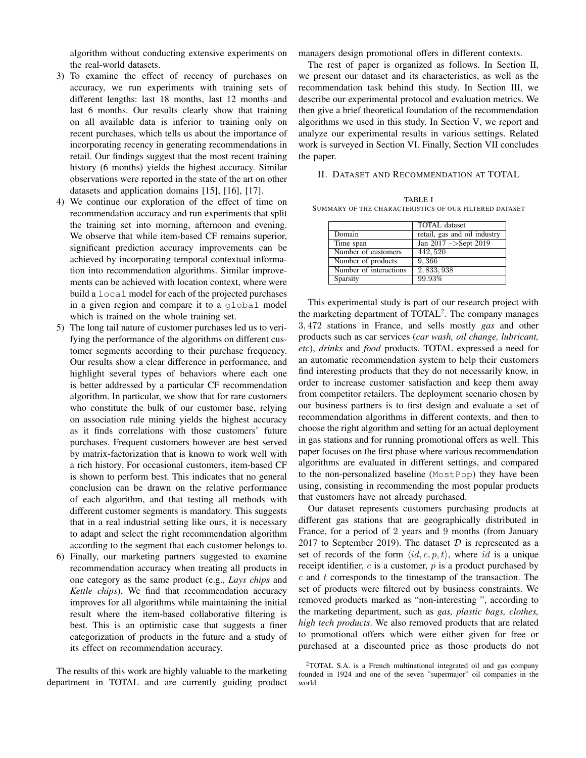algorithm without conducting extensive experiments on the real-world datasets.

- 3) To examine the effect of recency of purchases on accuracy, we run experiments with training sets of different lengths: last 18 months, last 12 months and last 6 months. Our results clearly show that training on all available data is inferior to training only on recent purchases, which tells us about the importance of incorporating recency in generating recommendations in retail. Our findings suggest that the most recent training history (6 months) yields the highest accuracy. Similar observations were reported in the state of the art on other datasets and application domains [15], [16], [17].
- 4) We continue our exploration of the effect of time on recommendation accuracy and run experiments that split the training set into morning, afternoon and evening. We observe that while item-based CF remains superior, significant prediction accuracy improvements can be achieved by incorporating temporal contextual information into recommendation algorithms. Similar improvements can be achieved with location context, where were build a local model for each of the projected purchases in a given region and compare it to a global model which is trained on the whole training set.
- 5) The long tail nature of customer purchases led us to verifying the performance of the algorithms on different customer segments according to their purchase frequency. Our results show a clear difference in performance, and highlight several types of behaviors where each one is better addressed by a particular CF recommendation algorithm. In particular, we show that for rare customers who constitute the bulk of our customer base, relying on association rule mining yields the highest accuracy as it finds correlations with those customers' future purchases. Frequent customers however are best served by matrix-factorization that is known to work well with a rich history. For occasional customers, item-based CF is shown to perform best. This indicates that no general conclusion can be drawn on the relative performance of each algorithm, and that testing all methods with different customer segments is mandatory. This suggests that in a real industrial setting like ours, it is necessary to adapt and select the right recommendation algorithm according to the segment that each customer belongs to.
- 6) Finally, our marketing partners suggested to examine recommendation accuracy when treating all products in one category as the same product (e.g., *Lays chips* and *Kettle chips*). We find that recommendation accuracy improves for all algorithms while maintaining the initial result where the item-based collaborative filtering is best. This is an optimistic case that suggests a finer categorization of products in the future and a study of its effect on recommendation accuracy.

The results of this work are highly valuable to the marketing department in TOTAL and are currently guiding product managers design promotional offers in different contexts.

The rest of paper is organized as follows. In Section II, we present our dataset and its characteristics, as well as the recommendation task behind this study. In Section III, we describe our experimental protocol and evaluation metrics. We then give a brief theoretical foundation of the recommendation algorithms we used in this study. In Section V, we report and analyze our experimental results in various settings. Related work is surveyed in Section VI. Finally, Section VII concludes the paper.

## II. DATASET AND RECOMMENDATION AT TOTAL

|  |  | TABLE I |  |                                                        |  |  |
|--|--|---------|--|--------------------------------------------------------|--|--|
|  |  |         |  | SUMMARY OF THE CHARACTERISTICS OF OUR FILTERED DATASET |  |  |
|  |  |         |  |                                                        |  |  |

| <b>TOTAL</b> dataset              |
|-----------------------------------|
| retail, gas and oil industry      |
| $\overline{Jan 2017}$ ->Sept 2019 |
| 442, 520                          |
| 9,366                             |
| 2, 833, 938                       |
| 99.93%                            |
|                                   |

This experimental study is part of our research project with the marketing department of  $\text{TOTAL}^2$ . The company manages 3, 472 stations in France, and sells mostly *gas* and other products such as car services (*car wash, oil change, lubricant, etc*), *drinks* and *food* products. TOTAL expressed a need for an automatic recommendation system to help their customers find interesting products that they do not necessarily know, in order to increase customer satisfaction and keep them away from competitor retailers. The deployment scenario chosen by our business partners is to first design and evaluate a set of recommendation algorithms in different contexts, and then to choose the right algorithm and setting for an actual deployment in gas stations and for running promotional offers as well. This paper focuses on the first phase where various recommendation algorithms are evaluated in different settings, and compared to the non-personalized baseline (MostPop) they have been using, consisting in recommending the most popular products that customers have not already purchased.

Our dataset represents customers purchasing products at different gas stations that are geographically distributed in France, for a period of 2 years and 9 months (from January 2017 to September 2019). The dataset  $D$  is represented as a set of records of the form  $\langle id, c, p, t \rangle$ , where id is a unique receipt identifier,  $c$  is a customer,  $p$  is a product purchased by  $c$  and  $t$  corresponds to the timestamp of the transaction. The set of products were filtered out by business constraints. We removed products marked as "non-interesting ", according to the marketing department, such as *gas, plastic bags, clothes, high tech products*. We also removed products that are related to promotional offers which were either given for free or purchased at a discounted price as those products do not

<sup>2</sup>TOTAL S.A. is a French multinational integrated oil and gas company founded in 1924 and one of the seven "supermajor" oil companies in the world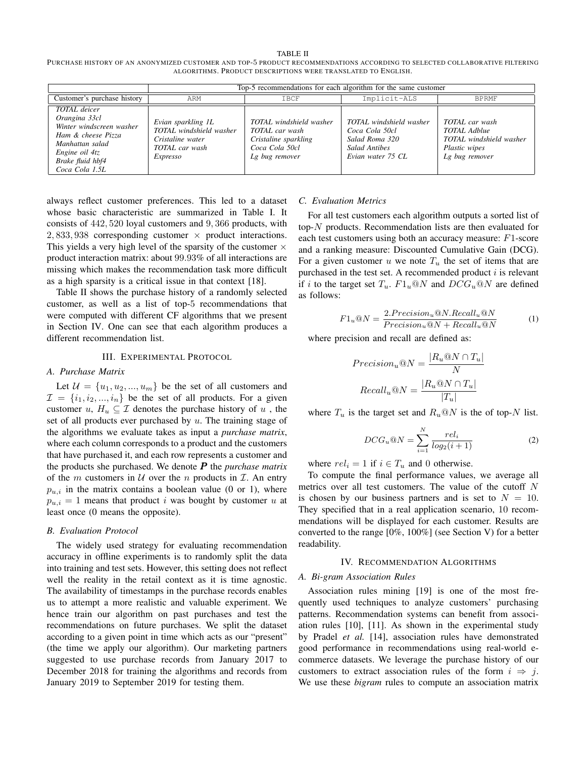#### TABLE II

PURCHASE HISTORY OF AN ANONYMIZED CUSTOMER AND TOP-5 PRODUCT RECOMMENDATIONS ACCORDING TO SELECTED COLLABORATIVE FILTERING ALGORITHMS. PRODUCT DESCRIPTIONS WERE TRANSLATED TO ENGLISH.

|                                                                                                                                                                   |                                                                                                        | Top-5 recommendations for each algorithm for the same customer                                        |                                                                                                          |                                                                                                            |  |  |  |  |  |
|-------------------------------------------------------------------------------------------------------------------------------------------------------------------|--------------------------------------------------------------------------------------------------------|-------------------------------------------------------------------------------------------------------|----------------------------------------------------------------------------------------------------------|------------------------------------------------------------------------------------------------------------|--|--|--|--|--|
| Customer's purchase history                                                                                                                                       | ARM                                                                                                    | <b>TBCF</b>                                                                                           | Implicit-ALS                                                                                             | <b>BPRMF</b>                                                                                               |  |  |  |  |  |
| <b>TOTAL</b> deicer<br>Orangina 33cl<br>Winter windscreen washer<br>Ham & cheese Pizza<br>Manhattan salad<br>Engine oil 4tz<br>Brake fluid hbf4<br>Coca Cola 1.5L | Evian sparkling 1L<br>TOTAL windshield washer<br>Cristaline water<br>TOTAL car wash<br><i>Expresso</i> | TOTAL windshield washer<br>TOTAL car wash<br>Cristaline sparkling<br>Coca Cola 50cl<br>Lg bug remover | TOTAL windshield washer<br>Coca Cola 50cl<br>Salad Roma 320<br><b>Salad Antibes</b><br>Evian water 75 CL | <b>TOTAL</b> car wash<br><b>TOTAL</b> Adblue<br>TOTAL windshield washer<br>Plastic wipes<br>Lg bug remover |  |  |  |  |  |

always reflect customer preferences. This led to a dataset whose basic characteristic are summarized in Table I. It consists of 442, 520 loyal customers and 9, 366 products, with  $2,833,938$  corresponding customer  $\times$  product interactions. This yields a very high level of the sparsity of the customer  $\times$ product interaction matrix: about 99.93% of all interactions are missing which makes the recommendation task more difficult as a high sparsity is a critical issue in that context [18].

Table II shows the purchase history of a randomly selected customer, as well as a list of top-5 recommendations that were computed with different CF algorithms that we present in Section IV. One can see that each algorithm produces a different recommendation list.

#### III. EXPERIMENTAL PROTOCOL

# *A. Purchase Matrix*

Let  $\mathcal{U} = \{u_1, u_2, ..., u_m\}$  be the set of all customers and  $\mathcal{I} = \{i_1, i_2, ..., i_n\}$  be the set of all products. For a given customer  $u, H_u \subseteq \mathcal{I}$  denotes the purchase history of  $u$ , the set of all products ever purchased by  $u$ . The training stage of the algorithms we evaluate takes as input a *purchase matrix*, where each column corresponds to a product and the customers that have purchased it, and each row represents a customer and the products she purchased. We denote P the *purchase matrix* of the m customers in  $U$  over the n products in  $I$ . An entry  $p_{u,i}$  in the matrix contains a boolean value (0 or 1), where  $p_{u,i} = 1$  means that product i was bought by customer u at least once (0 means the opposite).

## *B. Evaluation Protocol*

The widely used strategy for evaluating recommendation accuracy in offline experiments is to randomly split the data into training and test sets. However, this setting does not reflect well the reality in the retail context as it is time agnostic. The availability of timestamps in the purchase records enables us to attempt a more realistic and valuable experiment. We hence train our algorithm on past purchases and test the recommendations on future purchases. We split the dataset according to a given point in time which acts as our "present" (the time we apply our algorithm). Our marketing partners suggested to use purchase records from January 2017 to December 2018 for training the algorithms and records from January 2019 to September 2019 for testing them.

#### *C. Evaluation Metrics*

For all test customers each algorithm outputs a sorted list of top-N products. Recommendation lists are then evaluated for each test customers using both an accuracy measure: F1-score and a ranking measure: Discounted Cumulative Gain (DCG). For a given customer u we note  $T_u$  the set of items that are purchased in the test set. A recommended product  $i$  is relevant if i to the target set  $T_u$ .  $F1_u@N$  and  $DCG_u@N$  are defined as follows:

$$
F1_u@N = \frac{2.Precision_u@N.Recall_u@N}{Precision_u@N + Recall_u@N}
$$
 (1)

where precision and recall are defined as:

$$
Precision_u @N = \frac{|R_u @N \cap T_u|}{N}
$$

$$
Recall_u @N = \frac{|R_u @N \cap T_u|}{|T_u|}
$$

where  $T_u$  is the target set and  $R_u@N$  is the of top-N list.

$$
DCG_u @N = \sum_{i=1}^{N} \frac{rel_i}{log_2(i+1)}
$$
 (2)

where  $rel_i = 1$  if  $i \in T_u$  and 0 otherwise.

To compute the final performance values, we average all metrics over all test customers. The value of the cutoff  $N$ is chosen by our business partners and is set to  $N = 10$ . They specified that in a real application scenario, 10 recommendations will be displayed for each customer. Results are converted to the range [0%, 100%] (see Section V) for a better readability.

## IV. RECOMMENDATION ALGORITHMS

#### *A. Bi-gram Association Rules*

Association rules mining [19] is one of the most frequently used techniques to analyze customers' purchasing patterns. Recommendation systems can benefit from association rules [10], [11]. As shown in the experimental study by Pradel *et al.* [14], association rules have demonstrated good performance in recommendations using real-world ecommerce datasets. We leverage the purchase history of our customers to extract association rules of the form  $i \Rightarrow j$ . We use these *bigram* rules to compute an association matrix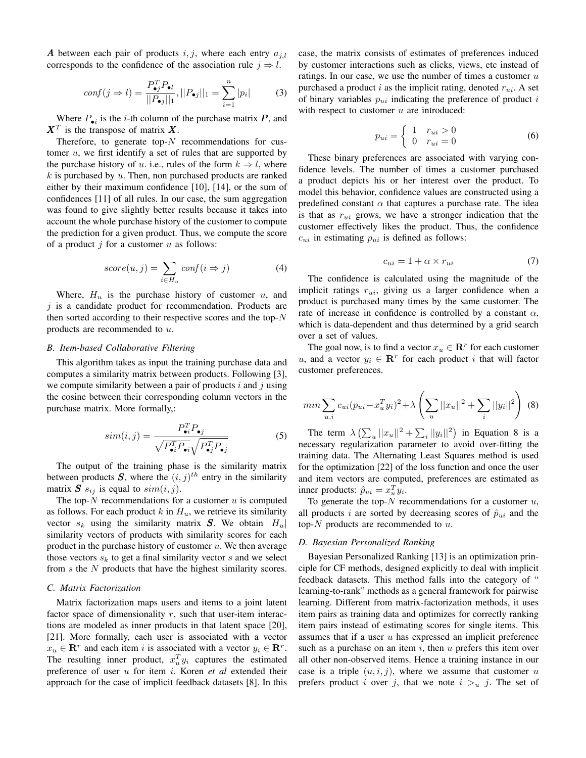A between each pair of products i, j, where each entry  $a_{j,l}$ corresponds to the confidence of the association rule  $j \Rightarrow l$ .

$$
conf(j \Rightarrow l) = \frac{P_{\bullet j}^T P_{\bullet l}}{||P_{\bullet j}||_1}, ||P_{\bullet j}||_1 = \sum_{i=1}^n |p_i|
$$
 (3)

Where  $P_{\bullet i}$  is the *i*-th column of the purchase matrix  $P$ , and  $X^T$  is the transpose of matrix X.

Therefore, to generate top- $N$  recommendations for customer  $u$ , we first identify a set of rules that are supported by the purchase history of u. i.e., rules of the form  $k \Rightarrow l$ , where  $k$  is purchased by  $u$ . Then, non purchased products are ranked either by their maximum confidence [10], [14], or the sum of confidences [11] of all rules. In our case, the sum aggregation was found to give slightly better results because it takes into account the whole purchase history of the customer to compute the prediction for a given product. Thus, we compute the score of a product  $j$  for a customer  $u$  as follows:

$$
score(u, j) = \sum_{i \in H_u} conf(i \Rightarrow j)
$$
 (4)

Where,  $H_u$  is the purchase history of customer u, and  $j$  is a candidate product for recommendation. Products are then sorted according to their respective scores and the top- $N$ products are recommended to u.

## *B. Item-based Collaborative Filtering*

This algorithm takes as input the training purchase data and computes a similarity matrix between products. Following [3], we compute similarity between a pair of products  $i$  and  $j$  using the cosine between their corresponding column vectors in the purchase matrix. More formally,:

$$
sim(i,j) = \frac{P_{\bullet i}^{T} P_{\bullet j}}{\sqrt{P_{\bullet i}^{T} P_{\bullet i}} \sqrt{P_{\bullet j}^{T} P_{\bullet j}}}
$$
(5)

The output of the training phase is the similarity matrix between products S, where the  $(i, j)^{th}$  entry in the similarity matrix  $S$   $s_{ij}$  is equal to  $sim(i, j)$ .

The top- $N$  recommendations for a customer  $u$  is computed as follows. For each product k in  $H_u$ , we retrieve its similarity vector  $s_k$  using the similarity matrix S. We obtain  $|H_u|$ similarity vectors of products with similarity scores for each product in the purchase history of customer  $u$ . We then average those vectors  $s_k$  to get a final similarity vector s and we select from s the N products that have the highest similarity scores.

## *C. Matrix Factorization*

Matrix factorization maps users and items to a joint latent factor space of dimensionality  $r$ , such that user-item interactions are modeled as inner products in that latent space [20], [21]. More formally, each user is associated with a vector  $x_u \in \mathbb{R}^r$  and each item i is associated with a vector  $y_i \in \mathbb{R}^r$ . The resulting inner product,  $x_u^T y_i$  captures the estimated preference of user u for item i. Koren *et al* extended their approach for the case of implicit feedback datasets [8]. In this case, the matrix consists of estimates of preferences induced by customer interactions such as clicks, views, etc instead of ratings. In our case, we use the number of times a customer  $u$ purchased a product i as the implicit rating, denoted  $r_{ui}$ . A set of binary variables  $p_{ui}$  indicating the preference of product  $i$ with respect to customer  $u$  are introduced:

$$
p_{ui} = \begin{cases} 1 & r_{ui} > 0 \\ 0 & r_{ui} = 0 \end{cases} \tag{6}
$$

These binary preferences are associated with varying confidence levels. The number of times a customer purchased a product depicts his or her interest over the product. To model this behavior, confidence values are constructed using a predefined constant  $\alpha$  that captures a purchase rate. The idea is that as  $r_{ui}$  grows, we have a stronger indication that the customer effectively likes the product. Thus, the confidence  $c_{ui}$  in estimating  $p_{ui}$  is defined as follows:

$$
c_{ui} = 1 + \alpha \times r_{ui} \tag{7}
$$

The confidence is calculated using the magnitude of the implicit ratings  $r_{ui}$ , giving us a larger confidence when a product is purchased many times by the same customer. The rate of increase in confidence is controlled by a constant  $\alpha$ , which is data-dependent and thus determined by a grid search over a set of values.

The goal now, is to find a vector  $x_u \in \mathbb{R}^r$  for each customer u, and a vector  $y_i \in \mathbb{R}^r$  for each product i that will factor customer preferences.

$$
min \sum_{u,i} c_{ui} (p_{ui} - x_u^T y_i)^2 + \lambda \left( \sum_u ||x_u||^2 + \sum_i ||y_i||^2 \right) \tag{8}
$$

The term  $\lambda \left( \sum_{u} ||x_u||^2 + \sum_{i} ||y_i||^2 \right)$  in Equation 8 is a necessary regularization parameter to avoid over-fitting the training data. The Alternating Least Squares method is used for the optimization [22] of the loss function and once the user and item vectors are computed, preferences are estimated as inner products:  $\hat{p}_{ui} = x_u^T y_i$ .

To generate the top- $N$  recommendations for a customer  $u$ , all products i are sorted by decreasing scores of  $\hat{p}_{ui}$  and the top- $N$  products are recommended to  $u$ .

## *D. Bayesian Personalized Ranking*

Bayesian Personalized Ranking [13] is an optimization principle for CF methods, designed explicitly to deal with implicit feedback datasets. This method falls into the category of " learning-to-rank" methods as a general framework for pairwise learning. Different from matrix-factorization methods, it uses item pairs as training data and optimizes for correctly ranking item pairs instead of estimating scores for single items. This assumes that if a user  $u$  has expressed an implicit preference such as a purchase on an item  $i$ , then  $u$  prefers this item over all other non-observed items. Hence a training instance in our case is a triple  $(u, i, j)$ , where we assume that customer u prefers product i over j, that we note  $i > u$  j. The set of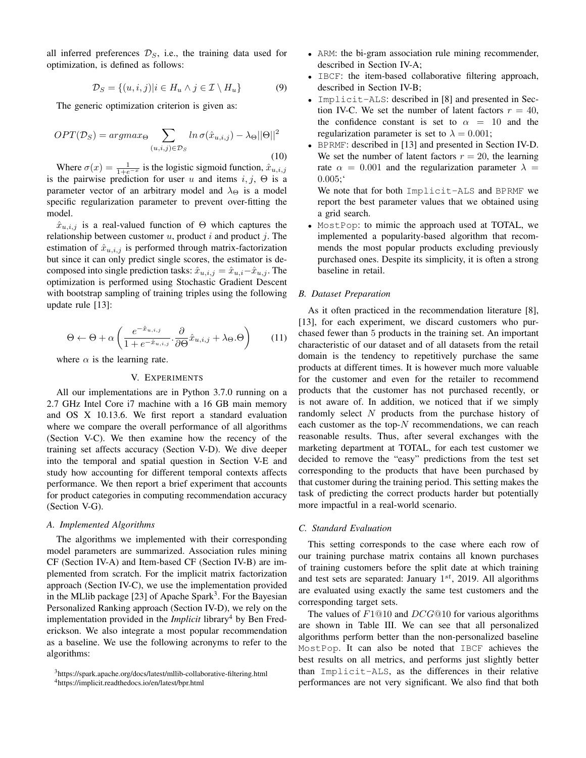all inferred preferences  $\mathcal{D}_s$ , i.e., the training data used for optimization, is defined as follows:

$$
\mathcal{D}_S = \{(u, i, j)|i \in H_u \land j \in \mathcal{I} \setminus H_u\} \tag{9}
$$

The generic optimization criterion is given as:

$$
OPT(\mathcal{D}_S) = argmax_{\Theta} \sum_{(u,i,j) \in \mathcal{D}_S} ln \sigma(\hat{x}_{u,i,j}) - \lambda_{\Theta} ||\Theta||^2
$$
\n(10)

Where  $\sigma(x) = \frac{1}{1+e^{-x}}$  is the logistic sigmoid function,  $\hat{x}_{u,i,j}$ is the pairwise prediction for user u and items  $i, j, \Theta$  is a parameter vector of an arbitrary model and  $\lambda_{\Theta}$  is a model specific regularization parameter to prevent over-fitting the model.

 $\hat{x}_{u,i,j}$  is a real-valued function of  $\Theta$  which captures the relationship between customer  $u$ , product  $i$  and product  $j$ . The estimation of  $\hat{x}_{u,i,j}$  is performed through matrix-factorization but since it can only predict single scores, the estimator is decomposed into single prediction tasks:  $\hat{x}_{u,i,j} = \hat{x}_{u,i} - \hat{x}_{u,j}$ . The optimization is performed using Stochastic Gradient Descent with bootstrap sampling of training triples using the following update rule [13]:

$$
\Theta \leftarrow \Theta + \alpha \left( \frac{e^{-\hat{x}_{u,i,j}}}{1 + e^{-\hat{x}_{u,i,j}} \cdot \frac{\partial}{\partial \Theta} \hat{x}_{u,i,j} + \lambda_{\Theta}.\Theta \right) \tag{11}
$$

where  $\alpha$  is the learning rate.

## V. EXPERIMENTS

All our implementations are in Python 3.7.0 running on a 2.7 GHz Intel Core i7 machine with a 16 GB main memory and OS X 10.13.6. We first report a standard evaluation where we compare the overall performance of all algorithms (Section V-C). We then examine how the recency of the training set affects accuracy (Section V-D). We dive deeper into the temporal and spatial question in Section V-E and study how accounting for different temporal contexts affects performance. We then report a brief experiment that accounts for product categories in computing recommendation accuracy (Section V-G).

#### *A. Implemented Algorithms*

The algorithms we implemented with their corresponding model parameters are summarized. Association rules mining CF (Section IV-A) and Item-based CF (Section IV-B) are implemented from scratch. For the implicit matrix factorization approach (Section IV-C), we use the implementation provided in the MLlib package [23] of Apache Spark<sup>3</sup>. For the Bayesian Personalized Ranking approach (Section IV-D), we rely on the implementation provided in the *Implicit* library<sup>4</sup> by Ben Frederickson. We also integrate a most popular recommendation as a baseline. We use the following acronyms to refer to the algorithms:

- ARM: the bi-gram association rule mining recommender, described in Section IV-A;
- IBCF: the item-based collaborative filtering approach, described in Section IV-B;
- Implicit-ALS: described in [8] and presented in Section IV-C. We set the number of latent factors  $r = 40$ , the confidence constant is set to  $\alpha = 10$  and the regularization parameter is set to  $\lambda = 0.001$ ;
- BPRMF: described in [13] and presented in Section IV-D. We set the number of latent factors  $r = 20$ , the learning rate  $\alpha = 0.001$  and the regularization parameter  $\lambda =$ 0.005;'

We note that for both Implicit-ALS and BPRMF we report the best parameter values that we obtained using a grid search.

• MostPop: to mimic the approach used at TOTAL, we implemented a popularity-based algorithm that recommends the most popular products excluding previously purchased ones. Despite its simplicity, it is often a strong baseline in retail.

# *B. Dataset Preparation*

As it often practiced in the recommendation literature [8], [13], for each experiment, we discard customers who purchased fewer than 5 products in the training set. An important characteristic of our dataset and of all datasets from the retail domain is the tendency to repetitively purchase the same products at different times. It is however much more valuable for the customer and even for the retailer to recommend products that the customer has not purchased recently, or is not aware of. In addition, we noticed that if we simply randomly select N products from the purchase history of each customer as the top- $N$  recommendations, we can reach reasonable results. Thus, after several exchanges with the marketing department at TOTAL, for each test customer we decided to remove the "easy" predictions from the test set corresponding to the products that have been purchased by that customer during the training period. This setting makes the task of predicting the correct products harder but potentially more impactful in a real-world scenario.

## *C. Standard Evaluation*

This setting corresponds to the case where each row of our training purchase matrix contains all known purchases of training customers before the split date at which training and test sets are separated: January  $1^{st}$ , 2019. All algorithms are evaluated using exactly the same test customers and the corresponding target sets.

The values of  $F1@10$  and  $DCG@10$  for various algorithms are shown in Table III. We can see that all personalized algorithms perform better than the non-personalized baseline MostPop. It can also be noted that IBCF achieves the best results on all metrics, and performs just slightly better than Implicit-ALS, as the differences in their relative performances are not very significant. We also find that both

<sup>3</sup>https://spark.apache.org/docs/latest/mllib-collaborative-filtering.html

<sup>4</sup>https://implicit.readthedocs.io/en/latest/bpr.html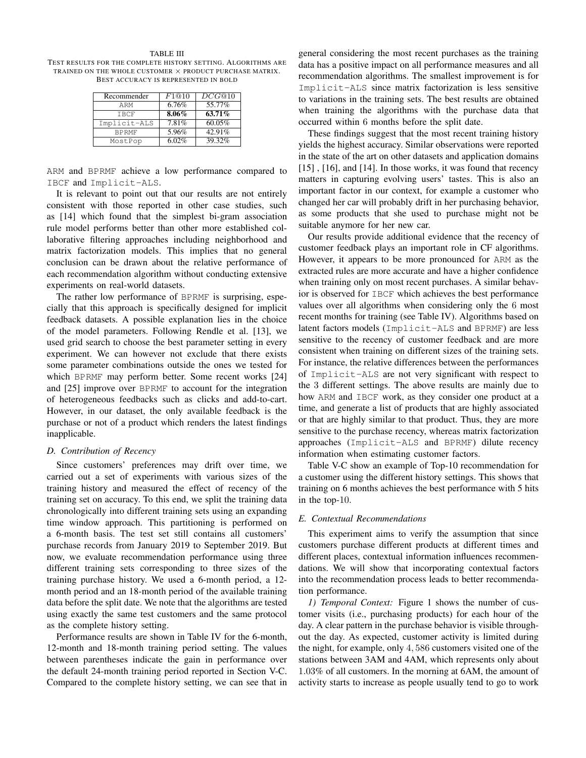#### TABLE III

TEST RESULTS FOR THE COMPLETE HISTORY SETTING. ALGORITHMS ARE TRAINED ON THE WHOLE CUSTOMER × PRODUCT PURCHASE MATRIX. BEST ACCURACY IS REPRESENTED IN BOLD

| Recommender  | F1@10    | DCG@10 |
|--------------|----------|--------|
| ARM          | 6.76%    | 55.77% |
| <b>TBCF</b>  | $8.06\%$ | 63.71% |
| Implicit-ALS | 7.81%    | 60.05% |
| <b>BPRMF</b> | 5.96%    | 42.91% |
| MostPop      | 6.02%    | 39.32% |

ARM and BPRMF achieve a low performance compared to IBCF and Implicit-ALS.

It is relevant to point out that our results are not entirely consistent with those reported in other case studies, such as [14] which found that the simplest bi-gram association rule model performs better than other more established collaborative filtering approaches including neighborhood and matrix factorization models. This implies that no general conclusion can be drawn about the relative performance of each recommendation algorithm without conducting extensive experiments on real-world datasets.

The rather low performance of BPRMF is surprising, especially that this approach is specifically designed for implicit feedback datasets. A possible explanation lies in the choice of the model parameters. Following Rendle et al. [13], we used grid search to choose the best parameter setting in every experiment. We can however not exclude that there exists some parameter combinations outside the ones we tested for which BPRMF may perform better. Some recent works [24] and [25] improve over BPRMF to account for the integration of heterogeneous feedbacks such as clicks and add-to-cart. However, in our dataset, the only available feedback is the purchase or not of a product which renders the latest findings inapplicable.

## *D. Contribution of Recency*

Since customers' preferences may drift over time, we carried out a set of experiments with various sizes of the training history and measured the effect of recency of the training set on accuracy. To this end, we split the training data chronologically into different training sets using an expanding time window approach. This partitioning is performed on a 6-month basis. The test set still contains all customers' purchase records from January 2019 to September 2019. But now, we evaluate recommendation performance using three different training sets corresponding to three sizes of the training purchase history. We used a 6-month period, a 12 month period and an 18-month period of the available training data before the split date. We note that the algorithms are tested using exactly the same test customers and the same protocol as the complete history setting.

Performance results are shown in Table IV for the 6-month, 12-month and 18-month training period setting. The values between parentheses indicate the gain in performance over the default 24-month training period reported in Section V-C. Compared to the complete history setting, we can see that in general considering the most recent purchases as the training data has a positive impact on all performance measures and all recommendation algorithms. The smallest improvement is for Implicit-ALS since matrix factorization is less sensitive to variations in the training sets. The best results are obtained when training the algorithms with the purchase data that occurred within 6 months before the split date.

These findings suggest that the most recent training history yields the highest accuracy. Similar observations were reported in the state of the art on other datasets and application domains [15], [16], and [14]. In those works, it was found that recency matters in capturing evolving users' tastes. This is also an important factor in our context, for example a customer who changed her car will probably drift in her purchasing behavior, as some products that she used to purchase might not be suitable anymore for her new car.

Our results provide additional evidence that the recency of customer feedback plays an important role in CF algorithms. However, it appears to be more pronounced for ARM as the extracted rules are more accurate and have a higher confidence when training only on most recent purchases. A similar behavior is observed for IBCF which achieves the best performance values over all algorithms when considering only the 6 most recent months for training (see Table IV). Algorithms based on latent factors models (Implicit-ALS and BPRMF) are less sensitive to the recency of customer feedback and are more consistent when training on different sizes of the training sets. For instance, the relative differences between the performances of Implicit-ALS are not very significant with respect to the 3 different settings. The above results are mainly due to how ARM and IBCF work, as they consider one product at a time, and generate a list of products that are highly associated or that are highly similar to that product. Thus, they are more sensitive to the purchase recency, whereas matrix factorization approaches (Implicit-ALS and BPRMF) dilute recency information when estimating customer factors.

Table V-C show an example of Top-10 recommendation for a customer using the different history settings. This shows that training on 6 months achieves the best performance with 5 hits in the top-10.

#### *E. Contextual Recommendations*

This experiment aims to verify the assumption that since customers purchase different products at different times and different places, contextual information influences recommendations. We will show that incorporating contextual factors into the recommendation process leads to better recommendation performance.

*1) Temporal Context:* Figure 1 shows the number of customer visits (i.e., purchasing products) for each hour of the day. A clear pattern in the purchase behavior is visible throughout the day. As expected, customer activity is limited during the night, for example, only 4, 586 customers visited one of the stations between 3AM and 4AM, which represents only about 1.03% of all customers. In the morning at 6AM, the amount of activity starts to increase as people usually tend to go to work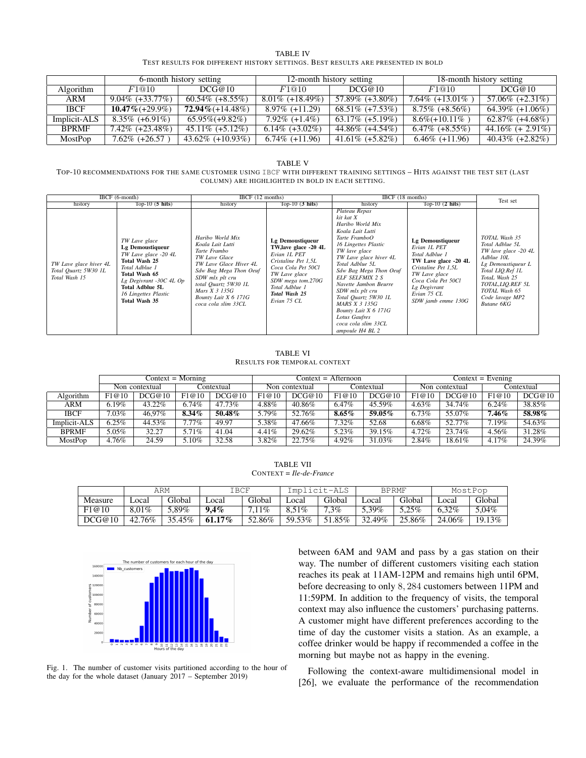| <b>TABLE IV</b>                                                                 |  |
|---------------------------------------------------------------------------------|--|
| TEST RESULTS FOR DIFFERENT HISTORY SETTINGS. BEST RESULTS ARE PRESENTED IN BOLD |  |

|                  | 6-month history setting |                      |                    | 12-month history setting | 18-month history setting |                      |  |
|------------------|-------------------------|----------------------|--------------------|--------------------------|--------------------------|----------------------|--|
| <b>Algorithm</b> | F1@10                   | DCG@10               | F1@10              | DCG@10                   | F1@10                    | DCG@10               |  |
| ARM              | $9.04\%$ (+33.77%)      | $60.54\%$ (+8.55%)   | $8.01\%$ (+18.49%) | $57.89\%$ (+3.80%)       | 7.64% $(+13.01\%)$       | $57.06\%$ (+2.31\%)  |  |
| <b>IBCF</b>      | $10.47\% (+29.9\%)$     | $72.94\% (+14.48\%)$ | $8.97\%$ (+11.29)  | $68.51\%$ (+7.53%)       | $8.75\%$ (+8.56%)        | $64.39\%$ (+1.06%)   |  |
| Implicit-ALS     | $8.35\%$ (+6.91%)       | $65.95\% (+9.82\%)$  | $7.92\%$ (+1.4%)   | $63.17\%$ (+5.19%)       | $8.6\%$ (+10.11\%)       | $62.87\%$ (+4.68%)   |  |
| <b>BPRMF</b>     | $7.42\%$ (+23.48%)      | $45.11\%$ (+5.12\%)  | $6.14\%$ (+3.02\%) | 44.86% (+4.54%)          | $6.47\%$ (+8.55%)        | 44.16\% $(+ 2.91\%)$ |  |
| MostPop          | $7.62\%$ (+26.57)       | $43.62\%$ (+10.93%)  | $6.74\%$ (+11.96)  | 41.61\% $(+5.82\%)$      | $6.46\%$ (+11.96)        | $40.43\%$ (+2.82%)   |  |

#### TABLE V

TOP-10 RECOMMENDATIONS FOR THE SAME CUSTOMER USING IBCF WITH DIFFERENT TRAINING SETTINGS – HITS AGAINST THE TEST SET (LAST COLUMN) ARE HIGHLIGHTED IN BOLD IN EACH SETTING.

|                                                                 | $IBCF (6-month)$                                                                                                                                                                                            | IBCF (12 months)                                                                                                                                                                                                                          |                                                                                                                                                                                                | IBCF (18 months)                                                                                                                                                                                                                                                                                                                                                                                      |                                                                                                                                                                                               | Test set                                                                                                                                                                                                        |
|-----------------------------------------------------------------|-------------------------------------------------------------------------------------------------------------------------------------------------------------------------------------------------------------|-------------------------------------------------------------------------------------------------------------------------------------------------------------------------------------------------------------------------------------------|------------------------------------------------------------------------------------------------------------------------------------------------------------------------------------------------|-------------------------------------------------------------------------------------------------------------------------------------------------------------------------------------------------------------------------------------------------------------------------------------------------------------------------------------------------------------------------------------------------------|-----------------------------------------------------------------------------------------------------------------------------------------------------------------------------------------------|-----------------------------------------------------------------------------------------------------------------------------------------------------------------------------------------------------------------|
| history                                                         | Top-10 $(5 \text{ hits})$                                                                                                                                                                                   | history                                                                                                                                                                                                                                   | $Top-10(3 hits)$                                                                                                                                                                               | history                                                                                                                                                                                                                                                                                                                                                                                               | Top-10 $(2 \text{ hits})$                                                                                                                                                                     |                                                                                                                                                                                                                 |
| TW Lave glace hiver 4L<br>Total Quartz 5W30 1L<br>Total Wash 15 | TW Lave glace<br>Lg Demoustiqueur<br>TW Lave glace -20 4L<br>Total Wash 25<br>Total Adblue 1<br>Total Wash 65<br>Lg Degivrant -30C 4L Op<br><b>Total Adblue 5L</b><br>16 Lingettes Plastic<br>Total Wash 35 | Haribo World Mix<br>Koala Lait Lutti<br>Tarte Frambo<br>TW Lave Glace<br>TW Lave Glace Hiver 4L<br>Sdw Bag Mega Thon Oeuf<br>SDW mlx plt cru<br>total Quartz 5W30 1L<br>Mars $X$ 3 135 $G$<br>Bounty Lait X 6 171G<br>coca cola slim 33CL | Lg Demoustiqueur<br>TW, lave glace -20 4L<br>Evian 1L PET<br>Cristaline Pet 1,5L<br>Coca Cola Pet 50Cl<br>TW Lave glace<br>SDW mega tom.270G<br>Total Adblue 1<br>Total Wash 25<br>Evian 75 CL | Plateau Repas<br>kit kat X<br>Haribo World Mix<br>Koala Lait Lutti<br>Tarte FramboO<br>16 Lingettes Plastic<br>TW lave glace<br>TW Lave glace hiver 4L<br>Total Adblue 5L<br>Sdw Bag Mega Thon Oeuf<br><b>ELF SELFMIX 2 S</b><br>Navette Jambon Beurre<br>SDW mlx plt cru<br>Total Quartz 5W30 1L<br>MARS X 3 135G<br>Bounty Lait X 6 171G<br>Lotus Gaufres<br>coca cola slim 33CL<br>ampoule H4 BL 2 | Lg Demoustiqueur<br>Evian 1L PET<br>Total Adblue 1<br>TW Lave glace -20 4L<br>Cristaline Pet 1,5L<br>TW Lave glace<br>Coca Cola Pet 50Cl<br>Lg Degivrant<br>Evian 75 CL<br>SDW jamb emme 130G | TOTAL Wash 35<br>Total Adblue 5L<br>TW lave glace -20 4L<br>Adblue 10L<br>Lg Demoustiqueur L<br>Total LIO.Ref 1L<br>TotaL Wash 25<br>TOTAL, LIO.REF 5L<br>TOTAL Wash 65<br>Code lavage MP2<br><b>Butane 6KG</b> |

#### TABLE VI RESULTS FOR TEMPORAL CONTEXT

|              |          |                | $Context = Morning$ |            |                |        | $Context = Afternoon$ |        |            | $Context = Evening$ |                |        |            |  |
|--------------|----------|----------------|---------------------|------------|----------------|--------|-----------------------|--------|------------|---------------------|----------------|--------|------------|--|
|              |          | Non contextual |                     | Contextual | Non contextual |        |                       |        | Contextual |                     | Non contextual |        | Contextual |  |
| Algorithm    | F1@10    | DCG@10         | F1@10               | DCG@10     | F1@10          | DCG@10 | F1@10                 | DCG@10 | F1@10      | DCG@10              | F1@10          | DCG@10 |            |  |
| ARM          | $6.19\%$ | 43.22%         | 6.74%               | 47.73%     | 4.88%          | 40.86% | 6.47%                 | 45.59% | 4.63%      | 34.74%              | 6.24%          | 38.85% |            |  |
| IBCF         | 7.03%    | 46.97%         | $8.34\%$            | $50.48\%$  | 5.79%          | 52.76% | $8.65\%$              | 59.05% | 6.73%      | 55.07%              | $7.46\%$       | 58.98% |            |  |
| Implicit-ALS | 6.25%    | 44.53%         | 7.77%               | 49.97      | 5.38%          | 47.66% | 7.32%                 | 52.68  | 6.68%      | 52.77%              | 7.19%          | 54.63% |            |  |
| <b>BPRMF</b> | 5.05%    | 32.27          | 5.71%               | 41.04      | 4.41%          | 29.62% | 5.23%                 | 39.15% | 4.72%      | 23.74%              | 4.56%          | 31.28% |            |  |
| MostPop      | 4.76%    | 24.59          | 5.10%               | 32.58      | 3.82%          | 22.75% | 4.92%                 | 31.03% | 2.84%      | 18.61%              | 4.17%          | 24.39% |            |  |

TABLE VII CONTEXT = *Ile-de-France*

|         |          | ARM    | IBCF    |          | Implicit-ALS |         | <b>BPRMF</b> |        | MostPop |         |
|---------|----------|--------|---------|----------|--------------|---------|--------------|--------|---------|---------|
| Measure | ∟ocal    | Global | ∟ocal   | Global   | ocal         | Global  | ocal         | Global | . ocal  | Global  |
| F1@10   | $8.01\%$ | 5.89%  | $9.4\%$ | $7.11\%$ | $8.51\%$     | $7.3\%$ | 5.39%        | 5.25%  | 6.32%   | 5.04%   |
| DCG@10  | 42.76%   | 35.45% | 61.17%  | 52.86%   | 59.53%       | 51.85%  | 32.49%       | 25.86% | 24.06%  | 19.13\% |



Fig. 1. The number of customer visits partitioned according to the hour of the day for the whole dataset (January 2017 – September 2019)

between 6AM and 9AM and pass by a gas station on their way. The number of different customers visiting each station reaches its peak at 11AM-12PM and remains high until 6PM, before decreasing to only 8, 284 customers between 11PM and 11:59PM. In addition to the frequency of visits, the temporal context may also influence the customers' purchasing patterns. A customer might have different preferences according to the time of day the customer visits a station. As an example, a coffee drinker would be happy if recommended a coffee in the morning but maybe not as happy in the evening.

Following the context-aware multidimensional model in [26], we evaluate the performance of the recommendation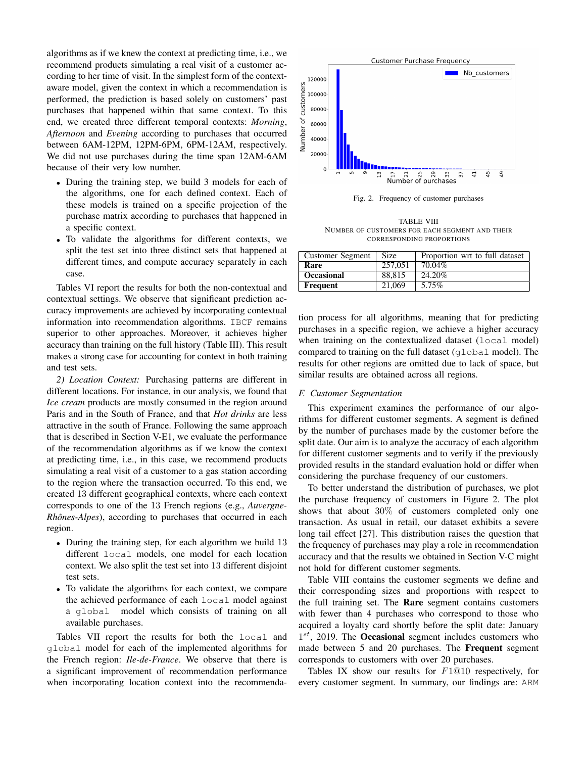algorithms as if we knew the context at predicting time, i.e., we recommend products simulating a real visit of a customer according to her time of visit. In the simplest form of the contextaware model, given the context in which a recommendation is performed, the prediction is based solely on customers' past purchases that happened within that same context. To this end, we created three different temporal contexts: *Morning*, *Afternoon* and *Evening* according to purchases that occurred between 6AM-12PM, 12PM-6PM, 6PM-12AM, respectively. We did not use purchases during the time span 12AM-6AM because of their very low number.

- During the training step, we build 3 models for each of the algorithms, one for each defined context. Each of these models is trained on a specific projection of the purchase matrix according to purchases that happened in a specific context.
- To validate the algorithms for different contexts, we split the test set into three distinct sets that happened at different times, and compute accuracy separately in each case.

Tables VI report the results for both the non-contextual and contextual settings. We observe that significant prediction accuracy improvements are achieved by incorporating contextual information into recommendation algorithms. IBCF remains superior to other approaches. Moreover, it achieves higher accuracy than training on the full history (Table III). This result makes a strong case for accounting for context in both training and test sets.

*2) Location Context:* Purchasing patterns are different in different locations. For instance, in our analysis, we found that *Ice cream* products are mostly consumed in the region around Paris and in the South of France, and that *Hot drinks* are less attractive in the south of France. Following the same approach that is described in Section V-E1, we evaluate the performance of the recommendation algorithms as if we know the context at predicting time, i.e., in this case, we recommend products simulating a real visit of a customer to a gas station according to the region where the transaction occurred. To this end, we created 13 different geographical contexts, where each context corresponds to one of the 13 French regions (e.g., *Auvergne-Rhônes-Alpes*), according to purchases that occurred in each region.

- During the training step, for each algorithm we build 13 different local models, one model for each location context. We also split the test set into 13 different disjoint test sets.
- To validate the algorithms for each context, we compare the achieved performance of each local model against a global model which consists of training on all available purchases.

Tables VII report the results for both the local and global model for each of the implemented algorithms for the French region: *Ile-de-France*. We observe that there is a significant improvement of recommendation performance when incorporating location context into the recommenda-



Fig. 2. Frequency of customer purchases

TABLE VIII NUMBER OF CUSTOMERS FOR EACH SEGMENT AND THEIR CORRESPONDING PROPORTIONS

| <b>Customer Segment</b> | Size    | Proportion wrt to full dataset |
|-------------------------|---------|--------------------------------|
| Rare                    | 257,051 | 70.04%                         |
| <b>Occasional</b>       | 88.815  | 24.20%                         |
| Frequent                | 21,069  | 5.75%                          |

tion process for all algorithms, meaning that for predicting purchases in a specific region, we achieve a higher accuracy when training on the contextualized dataset (local model) compared to training on the full dataset (global model). The results for other regions are omitted due to lack of space, but similar results are obtained across all regions.

# *F. Customer Segmentation*

This experiment examines the performance of our algorithms for different customer segments. A segment is defined by the number of purchases made by the customer before the split date. Our aim is to analyze the accuracy of each algorithm for different customer segments and to verify if the previously provided results in the standard evaluation hold or differ when considering the purchase frequency of our customers.

To better understand the distribution of purchases, we plot the purchase frequency of customers in Figure 2. The plot shows that about 30% of customers completed only one transaction. As usual in retail, our dataset exhibits a severe long tail effect [27]. This distribution raises the question that the frequency of purchases may play a role in recommendation accuracy and that the results we obtained in Section V-C might not hold for different customer segments.

Table VIII contains the customer segments we define and their corresponding sizes and proportions with respect to the full training set. The Rare segment contains customers with fewer than 4 purchases who correspond to those who acquired a loyalty card shortly before the split date: January  $1^{st}$ , 2019. The Occasional segment includes customers who made between 5 and 20 purchases. The Frequent segment corresponds to customers with over 20 purchases.

Tables IX show our results for F1@10 respectively, for every customer segment. In summary, our findings are: ARM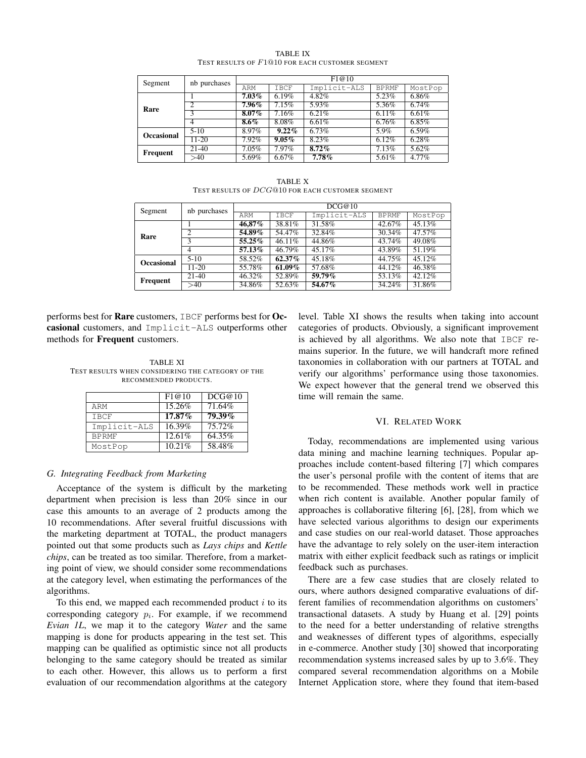| Segment           | nb purchases | F1@10    |          |              |              |          |  |  |  |  |
|-------------------|--------------|----------|----------|--------------|--------------|----------|--|--|--|--|
|                   |              | ARM      | IBCF     | Implicit-ALS | <b>BPRMF</b> | MostPop  |  |  |  |  |
|                   |              | $7.03\%$ | 6.19%    | 4.82%        | 5.23%        | 6.86%    |  |  |  |  |
| Rare              | ↑            | 7.96%    | 7.15%    | 5.93%        | 5.36%        | 6.74%    |  |  |  |  |
|                   | 3            | $8.07\%$ | 7.16%    | 6.21%        | 6.11%        | 6.61%    |  |  |  |  |
|                   | 4            | $8.6\%$  | 8.08%    | 6.61%        | 6.76%        | 6.85%    |  |  |  |  |
| <b>Occasional</b> | $5-10$       | 8.97%    | $9.22\%$ | 6.73%        | 5.9%         | 6.59%    |  |  |  |  |
|                   | $11-20$      | 7.92%    | $9.05\%$ | 8.23%        | 6.12%        | $6.28\%$ |  |  |  |  |
| Frequent          | $21-40$      | 7.05%    | 7.97%    | $8.72\%$     | 7.13%        | 5.62%    |  |  |  |  |
|                   | >40          | 5.69%    | 6.67%    | $7.78\%$     | 5.61%        | $4.77\%$ |  |  |  |  |

TABLE IX TEST RESULTS OF F1@10 FOR EACH CUSTOMER SEGMENT

TABLE X TEST RESULTS OF  $DCG@10$  for each customer segment

| Segment           | nb purchases   | DCG@10    |           |              |              |         |  |  |  |  |
|-------------------|----------------|-----------|-----------|--------------|--------------|---------|--|--|--|--|
|                   |                | ARM       | IBCF      | Implicit-ALS | <b>BPRMF</b> | MostPop |  |  |  |  |
|                   |                | 46,87%    | 38.81%    | 31.58%       | 42.67%       | 45.13%  |  |  |  |  |
| Rare              | $\mathfrak{D}$ | 54.89%    | 54.47%    | 32.84%       | 30.34%       | 47.57%  |  |  |  |  |
|                   | 3              | 55.25%    | 46.11%    | 44.86%       | 43.74%       | 49.08%  |  |  |  |  |
|                   | 4              | $57.13\%$ | 46.79%    | 45.17%       | 43.89%       | 51.19%  |  |  |  |  |
| <b>Occasional</b> | $5-10$         | 58.52%    | 62.37%    | 45.18%       | 44.75%       | 45.12%  |  |  |  |  |
|                   | $11 - 20$      | 55.78%    | $61.09\%$ | 57.68%       | 44.12%       | 46.38%  |  |  |  |  |
| Frequent          | $21-40$        | 46.32%    | 52.89%    | 59.79%       | 53.13%       | 42.12%  |  |  |  |  |
|                   | >40            | 34.86%    | 52.63%    | 54.67%       | 34.24%       | 31.86%  |  |  |  |  |

performs best for Rare customers, IBCF performs best for Occasional customers, and Implicit-ALS outperforms other methods for Frequent customers.

TABLE XI TEST RESULTS WHEN CONSIDERING THE CATEGORY OF THE RECOMMENDED PRODUCTS.

|              | F1@10  | DCG@10    |
|--------------|--------|-----------|
| ARM          | 15.26% | 71.64%    |
| <b>TBCF</b>  | 17.87% | $79.39\%$ |
| Implicit-ALS | 16.39% | 75.72%    |
| <b>BPRMF</b> | 12.61% | 64.35%    |
| MostPop      | 10.21% | 58.48%    |

# *G. Integrating Feedback from Marketing*

Acceptance of the system is difficult by the marketing department when precision is less than 20% since in our case this amounts to an average of 2 products among the 10 recommendations. After several fruitful discussions with the marketing department at TOTAL, the product managers pointed out that some products such as *Lays chips* and *Kettle chips*, can be treated as too similar. Therefore, from a marketing point of view, we should consider some recommendations at the category level, when estimating the performances of the algorithms.

To this end, we mapped each recommended product  $i$  to its corresponding category  $p_i$ . For example, if we recommend *Evian 1L*, we map it to the category *Water* and the same mapping is done for products appearing in the test set. This mapping can be qualified as optimistic since not all products belonging to the same category should be treated as similar to each other. However, this allows us to perform a first evaluation of our recommendation algorithms at the category

level. Table XI shows the results when taking into account categories of products. Obviously, a significant improvement is achieved by all algorithms. We also note that IBCF remains superior. In the future, we will handcraft more refined taxonomies in collaboration with our partners at TOTAL and verify our algorithms' performance using those taxonomies. We expect however that the general trend we observed this time will remain the same.

## VI. RELATED WORK

Today, recommendations are implemented using various data mining and machine learning techniques. Popular approaches include content-based filtering [7] which compares the user's personal profile with the content of items that are to be recommended. These methods work well in practice when rich content is available. Another popular family of approaches is collaborative filtering [6], [28], from which we have selected various algorithms to design our experiments and case studies on our real-world dataset. Those approaches have the advantage to rely solely on the user-item interaction matrix with either explicit feedback such as ratings or implicit feedback such as purchases.

There are a few case studies that are closely related to ours, where authors designed comparative evaluations of different families of recommendation algorithms on customers' transactional datasets. A study by Huang et al. [29] points to the need for a better understanding of relative strengths and weaknesses of different types of algorithms, especially in e-commerce. Another study [30] showed that incorporating recommendation systems increased sales by up to 3.6%. They compared several recommendation algorithms on a Mobile Internet Application store, where they found that item-based